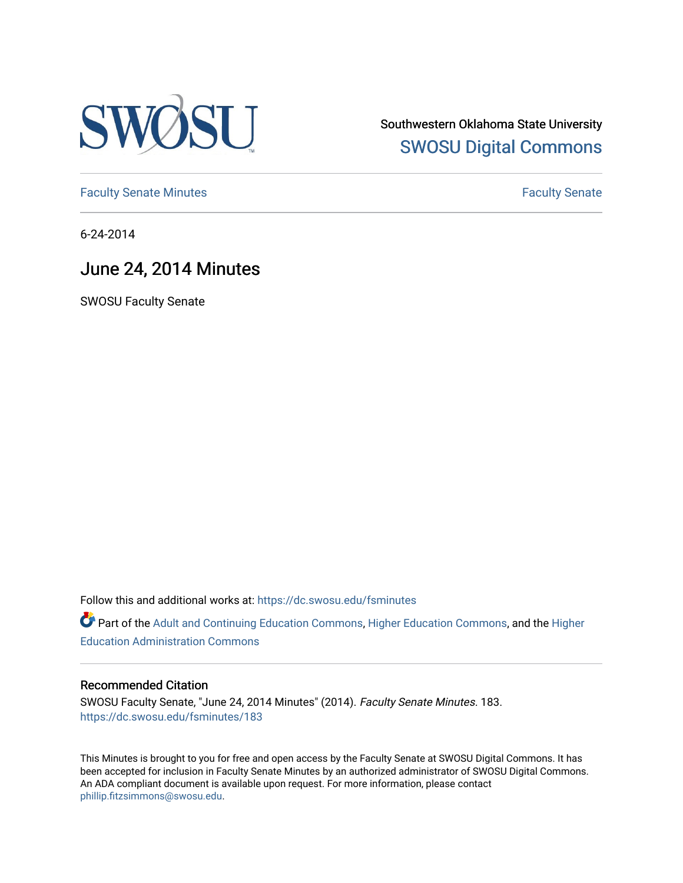

Southwestern Oklahoma State University [SWOSU Digital Commons](https://dc.swosu.edu/) 

[Faculty Senate Minutes](https://dc.swosu.edu/fsminutes) **Faculty** Senate Minutes

6-24-2014

## June 24, 2014 Minutes

SWOSU Faculty Senate

Follow this and additional works at: [https://dc.swosu.edu/fsminutes](https://dc.swosu.edu/fsminutes?utm_source=dc.swosu.edu%2Ffsminutes%2F183&utm_medium=PDF&utm_campaign=PDFCoverPages) 

Part of the [Adult and Continuing Education Commons,](http://network.bepress.com/hgg/discipline/1375?utm_source=dc.swosu.edu%2Ffsminutes%2F183&utm_medium=PDF&utm_campaign=PDFCoverPages) [Higher Education Commons,](http://network.bepress.com/hgg/discipline/1245?utm_source=dc.swosu.edu%2Ffsminutes%2F183&utm_medium=PDF&utm_campaign=PDFCoverPages) and the [Higher](http://network.bepress.com/hgg/discipline/791?utm_source=dc.swosu.edu%2Ffsminutes%2F183&utm_medium=PDF&utm_campaign=PDFCoverPages) [Education Administration Commons](http://network.bepress.com/hgg/discipline/791?utm_source=dc.swosu.edu%2Ffsminutes%2F183&utm_medium=PDF&utm_campaign=PDFCoverPages) 

#### Recommended Citation

SWOSU Faculty Senate, "June 24, 2014 Minutes" (2014). Faculty Senate Minutes. 183. [https://dc.swosu.edu/fsminutes/183](https://dc.swosu.edu/fsminutes/183?utm_source=dc.swosu.edu%2Ffsminutes%2F183&utm_medium=PDF&utm_campaign=PDFCoverPages) 

This Minutes is brought to you for free and open access by the Faculty Senate at SWOSU Digital Commons. It has been accepted for inclusion in Faculty Senate Minutes by an authorized administrator of SWOSU Digital Commons. An ADA compliant document is available upon request. For more information, please contact [phillip.fitzsimmons@swosu.edu](mailto:phillip.fitzsimmons@swosu.edu).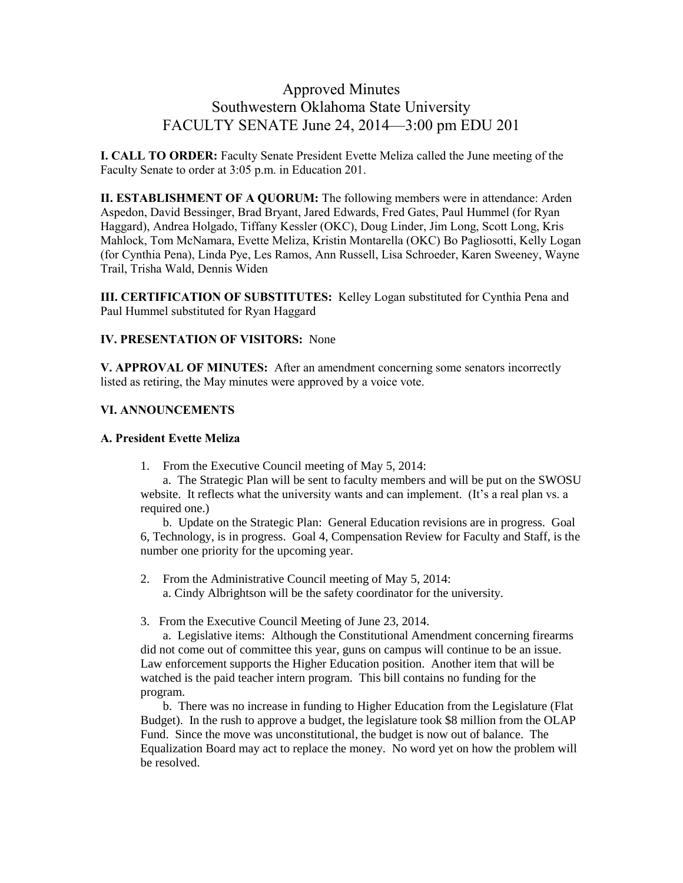## Approved Minutes Southwestern Oklahoma State University FACULTY SENATE June 24, 2014—3:00 pm EDU 201

**I. CALL TO ORDER:** Faculty Senate President Evette Meliza called the June meeting of the Faculty Senate to order at 3:05 p.m. in Education 201.

**II. ESTABLISHMENT OF A QUORUM:** The following members were in attendance: Arden Aspedon, David Bessinger, Brad Bryant, Jared Edwards, Fred Gates, Paul Hummel (for Ryan Haggard), Andrea Holgado, Tiffany Kessler (OKC), Doug Linder, Jim Long, Scott Long, Kris Mahlock, Tom McNamara, Evette Meliza, Kristin Montarella (OKC) Bo Pagliosotti, Kelly Logan (for Cynthia Pena), Linda Pye, Les Ramos, Ann Russell, Lisa Schroeder, Karen Sweeney, Wayne Trail, Trisha Wald, Dennis Widen

**III. CERTIFICATION OF SUBSTITUTES:** Kelley Logan substituted for Cynthia Pena and Paul Hummel substituted for Ryan Haggard

#### **IV. PRESENTATION OF VISITORS:** None

**V. APPROVAL OF MINUTES:** After an amendment concerning some senators incorrectly listed as retiring, the May minutes were approved by a voice vote.

#### **VI. ANNOUNCEMENTS**

#### **A. President Evette Meliza**

1. From the Executive Council meeting of May 5, 2014:

a. The Strategic Plan will be sent to faculty members and will be put on the SWOSU website. It reflects what the university wants and can implement. (It's a real plan vs. a required one.)

b. Update on the Strategic Plan: General Education revisions are in progress. Goal 6, Technology, is in progress. Goal 4, Compensation Review for Faculty and Staff, is the number one priority for the upcoming year.

- 2. From the Administrative Council meeting of May 5, 2014: a. Cindy Albrightson will be the safety coordinator for the university.
- 3. From the Executive Council Meeting of June 23, 2014.

a. Legislative items: Although the Constitutional Amendment concerning firearms did not come out of committee this year, guns on campus will continue to be an issue. Law enforcement supports the Higher Education position. Another item that will be watched is the paid teacher intern program. This bill contains no funding for the program.

b. There was no increase in funding to Higher Education from the Legislature (Flat Budget). In the rush to approve a budget, the legislature took \$8 million from the OLAP Fund. Since the move was unconstitutional, the budget is now out of balance. The Equalization Board may act to replace the money. No word yet on how the problem will be resolved.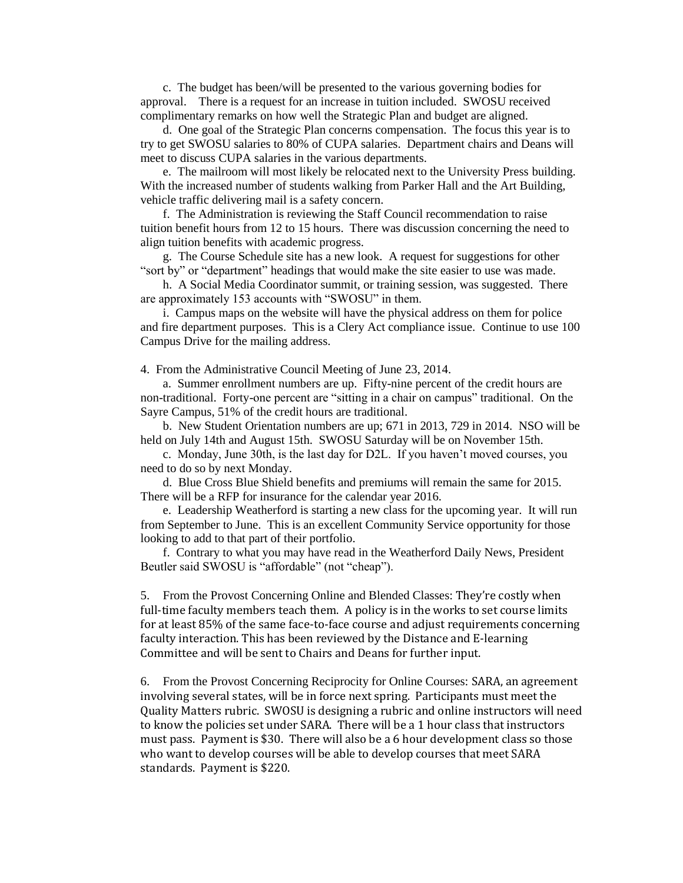c. The budget has been/will be presented to the various governing bodies for approval. There is a request for an increase in tuition included. SWOSU received complimentary remarks on how well the Strategic Plan and budget are aligned.

d. One goal of the Strategic Plan concerns compensation. The focus this year is to try to get SWOSU salaries to 80% of CUPA salaries. Department chairs and Deans will meet to discuss CUPA salaries in the various departments.

e. The mailroom will most likely be relocated next to the University Press building. With the increased number of students walking from Parker Hall and the Art Building, vehicle traffic delivering mail is a safety concern.

f. The Administration is reviewing the Staff Council recommendation to raise tuition benefit hours from 12 to 15 hours. There was discussion concerning the need to align tuition benefits with academic progress.

g. The Course Schedule site has a new look. A request for suggestions for other "sort by" or "department" headings that would make the site easier to use was made.

h. A Social Media Coordinator summit, or training session, was suggested. There are approximately 153 accounts with "SWOSU" in them.

i. Campus maps on the website will have the physical address on them for police and fire department purposes. This is a Clery Act compliance issue. Continue to use 100 Campus Drive for the mailing address.

4. From the Administrative Council Meeting of June 23, 2014.

a. Summer enrollment numbers are up. Fifty-nine percent of the credit hours are non-traditional. Forty-one percent are "sitting in a chair on campus" traditional. On the Sayre Campus, 51% of the credit hours are traditional.

b. New Student Orientation numbers are up; 671 in 2013, 729 in 2014. NSO will be held on July 14th and August 15th. SWOSU Saturday will be on November 15th.

c. Monday, June 30th, is the last day for D2L. If you haven't moved courses, you need to do so by next Monday.

d. Blue Cross Blue Shield benefits and premiums will remain the same for 2015. There will be a RFP for insurance for the calendar year 2016.

e. Leadership Weatherford is starting a new class for the upcoming year. It will run from September to June. This is an excellent Community Service opportunity for those looking to add to that part of their portfolio.

f. Contrary to what you may have read in the Weatherford Daily News, President Beutler said SWOSU is "affordable" (not "cheap").

5. From the Provost Concerning Online and Blended Classes: They're costly when full-time faculty members teach them. A policy is in the works to set course limits for at least 85% of the same face-to-face course and adjust requirements concerning faculty interaction. This has been reviewed by the Distance and E-learning Committee and will be sent to Chairs and Deans for further input.

6. From the Provost Concerning Reciprocity for Online Courses: SARA, an agreement involving several states, will be in force next spring. Participants must meet the Quality Matters rubric. SWOSU is designing a rubric and online instructors will need to know the policies set under SARA. There will be a 1 hour class that instructors must pass. Payment is \$30. There will also be a 6 hour development class so those who want to develop courses will be able to develop courses that meet SARA standards. Payment is \$220.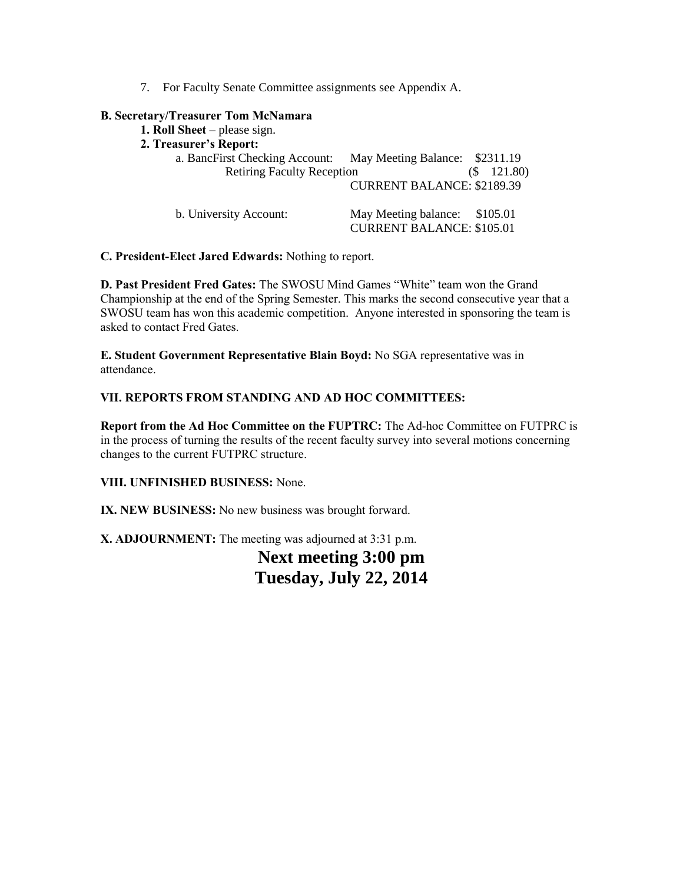7. For Faculty Senate Committee assignments see Appendix A.

#### **B. Secretary/Treasurer Tom McNamara**

| <i>r</i> an <i>y</i> in casal on to the state value a         |                                   |                |
|---------------------------------------------------------------|-----------------------------------|----------------|
| <b>1. Roll Sheet</b> – please sign.                           |                                   |                |
| 2. Treasurer's Report:                                        |                                   |                |
| a. BancFirst Checking Account: May Meeting Balance: \$2311.19 |                                   |                |
| <b>Retiring Faculty Reception</b>                             |                                   | 121.80)<br>(\$ |
|                                                               | <b>CURRENT BALANCE: \$2189.39</b> |                |
| b. University Account:                                        | May Meeting balance: \$105.01     |                |
|                                                               | <b>CURRENT BALANCE: \$105.01</b>  |                |

**C. President-Elect Jared Edwards:** Nothing to report.

**D. Past President Fred Gates:** The SWOSU Mind Games "White" team won the Grand Championship at the end of the Spring Semester. This marks the second consecutive year that a SWOSU team has won this academic competition. Anyone interested in sponsoring the team is asked to contact Fred Gates.

**E. Student Government Representative Blain Boyd:** No SGA representative was in attendance.

### **VII. REPORTS FROM STANDING AND AD HOC COMMITTEES:**

**Report from the Ad Hoc Committee on the FUPTRC:** The Ad-hoc Committee on FUTPRC is in the process of turning the results of the recent faculty survey into several motions concerning changes to the current FUTPRC structure.

### **VIII. UNFINISHED BUSINESS:** None.

**IX. NEW BUSINESS:** No new business was brought forward.

**X. ADJOURNMENT:** The meeting was adjourned at 3:31 p.m.

**Next meeting 3:00 pm Tuesday, July 22, 2014**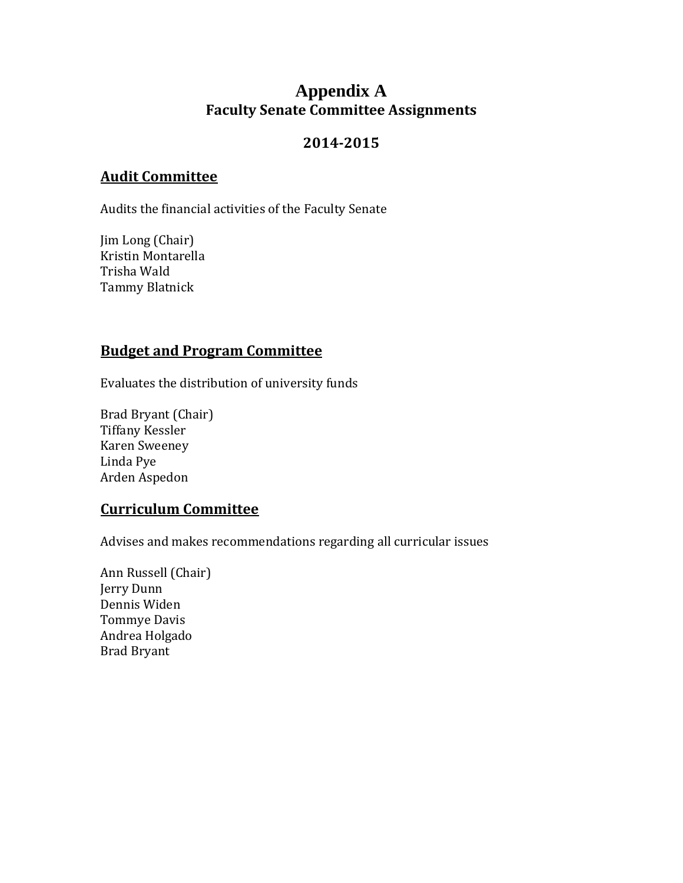# **Appendix A Faculty Senate Committee Assignments**

# **2014-2015**

## **Audit Committee**

Audits the financial activities of the Faculty Senate

Jim Long (Chair) Kristin Montarella Trisha Wald Tammy Blatnick

## **Budget and Program Committee**

Evaluates the distribution of university funds

Brad Bryant (Chair) Tiffany Kessler Karen Sweeney Linda Pye Arden Aspedon

## **Curriculum Committee**

Advises and makes recommendations regarding all curricular issues

Ann Russell (Chair) Jerry Dunn Dennis Widen Tommye Davis Andrea Holgado Brad Bryant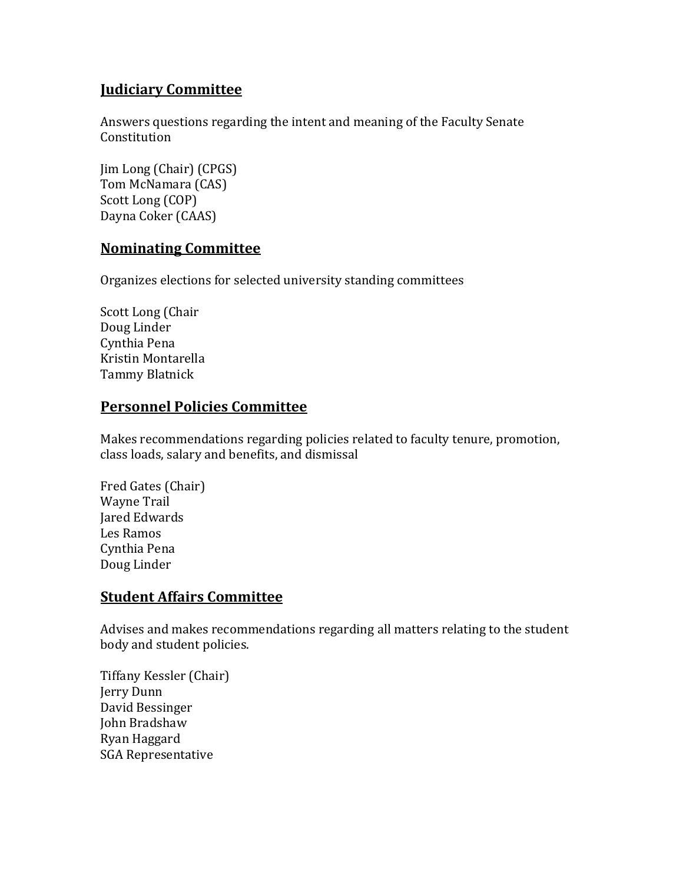## **Judiciary Committee**

Answers questions regarding the intent and meaning of the Faculty Senate Constitution

Jim Long (Chair) (CPGS) Tom McNamara (CAS) Scott Long (COP) Dayna Coker (CAAS)

## **Nominating Committee**

Organizes elections for selected university standing committees

Scott Long (Chair Doug Linder Cynthia Pena Kristin Montarella Tammy Blatnick

## **Personnel Policies Committee**

Makes recommendations regarding policies related to faculty tenure, promotion, class loads, salary and benefits, and dismissal

Fred Gates (Chair) Wayne Trail Jared Edwards Les Ramos Cynthia Pena Doug Linder

## **Student Affairs Committee**

Advises and makes recommendations regarding all matters relating to the student body and student policies.

Tiffany Kessler (Chair) Jerry Dunn David Bessinger John Bradshaw Ryan Haggard SGA Representative